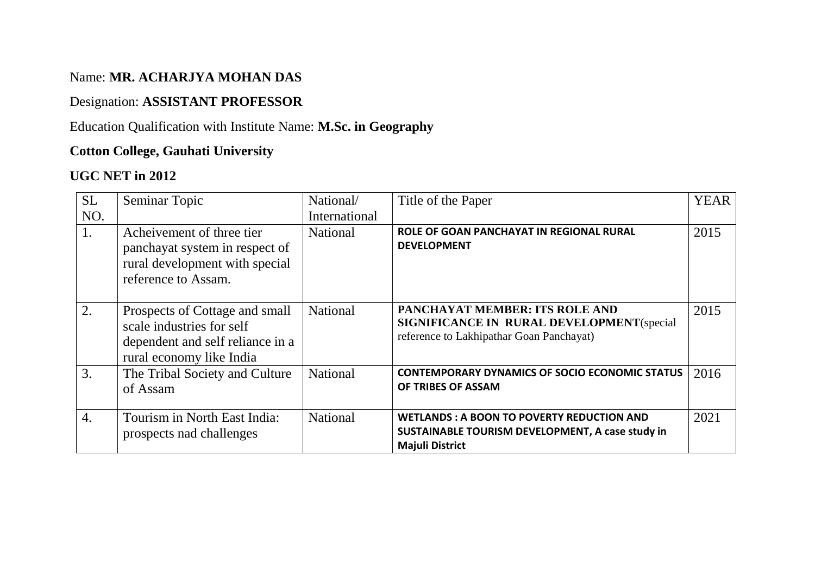# Name: **MR. ACHARJYA MOHAN DAS**

# Designation: **ASSISTANT PROFESSOR**

### Education Qualification with Institute Name: **M.Sc. in Geography**

### **Cotton College, Gauhati University**

# **UGC NET in 2012**

| <b>SL</b> | Seminar Topic                                                                                                               | National/       | Title of the Paper                                                                                                              | <b>YEAR</b> |
|-----------|-----------------------------------------------------------------------------------------------------------------------------|-----------------|---------------------------------------------------------------------------------------------------------------------------------|-------------|
| NO.       |                                                                                                                             | International   |                                                                                                                                 |             |
| 1.        | Acheivement of three tier<br>panchayat system in respect of<br>rural development with special<br>reference to Assam.        | <b>National</b> | ROLE OF GOAN PANCHAYAT IN REGIONAL RURAL<br><b>DEVELOPMENT</b>                                                                  | 2015        |
| 2.        | Prospects of Cottage and small<br>scale industries for self<br>dependent and self reliance in a<br>rural economy like India | <b>National</b> | PANCHAYAT MEMBER: ITS ROLE AND<br><b>SIGNIFICANCE IN RURAL DEVELOPMENT</b> (special<br>reference to Lakhipathar Goan Panchayat) | 2015        |
| 3.        | The Tribal Society and Culture<br>of Assam                                                                                  | <b>National</b> | <b>CONTEMPORARY DYNAMICS OF SOCIO ECONOMIC STATUS</b><br>OF TRIBES OF ASSAM                                                     | 2016        |
| 4.        | Tourism in North East India:<br>prospects nad challenges                                                                    | <b>National</b> | <b>WETLANDS: A BOON TO POVERTY REDUCTION AND</b><br>SUSTAINABLE TOURISM DEVELOPMENT, A case study in<br><b>Majuli District</b>  | 2021        |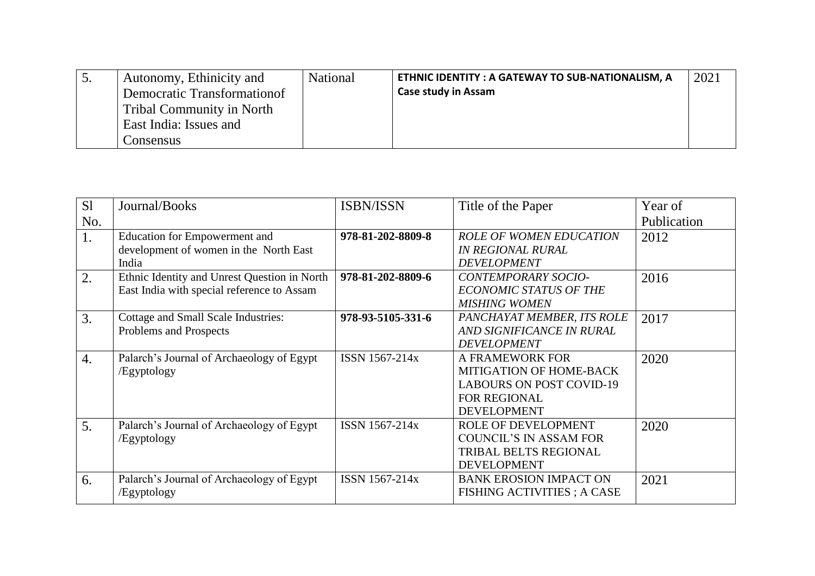|  | Autonomy, Ethinicity and<br>Democratic Transformation of<br>Tribal Community in North<br>East India: Issues and<br>Consensus | <b>National</b> | ETHNIC IDENTITY: A GATEWAY TO SUB-NATIONALISM, A<br><b>Case study in Assam</b> | 2021 |
|--|------------------------------------------------------------------------------------------------------------------------------|-----------------|--------------------------------------------------------------------------------|------|
|--|------------------------------------------------------------------------------------------------------------------------------|-----------------|--------------------------------------------------------------------------------|------|

| S <sub>1</sub>   | Journal/Books                                | <b>ISBN/ISSN</b>  | Title of the Paper                 | Year of     |
|------------------|----------------------------------------------|-------------------|------------------------------------|-------------|
| No.              |                                              |                   |                                    | Publication |
| 1.               | <b>Education for Empowerment and</b>         | 978-81-202-8809-8 | <b>ROLE OF WOMEN EDUCATION</b>     | 2012        |
|                  | development of women in the North East       |                   | <b>IN REGIONAL RURAL</b>           |             |
|                  | India                                        |                   | <b>DEVELOPMENT</b>                 |             |
| 2.               | Ethnic Identity and Unrest Question in North | 978-81-202-8809-6 | <b>CONTEMPORARY SOCIO-</b>         | 2016        |
|                  | East India with special reference to Assam   |                   | <b>ECONOMIC STATUS OF THE</b>      |             |
|                  |                                              |                   | <b>MISHING WOMEN</b>               |             |
| 3.               | Cottage and Small Scale Industries:          | 978-93-5105-331-6 | PANCHAYAT MEMBER, ITS ROLE         | 2017        |
|                  | Problems and Prospects                       |                   | AND SIGNIFICANCE IN RURAL          |             |
|                  |                                              |                   | <b>DEVELOPMENT</b>                 |             |
| $\overline{4}$ . | Palarch's Journal of Archaeology of Egypt    | ISSN 1567-214x    | A FRAMEWORK FOR                    | 2020        |
|                  | /Egyptology                                  |                   | <b>MITIGATION OF HOME-BACK</b>     |             |
|                  |                                              |                   | <b>LABOURS ON POST COVID-19</b>    |             |
|                  |                                              |                   | <b>FOR REGIONAL</b>                |             |
|                  |                                              |                   | <b>DEVELOPMENT</b>                 |             |
| 5.               | Palarch's Journal of Archaeology of Egypt    | ISSN 1567-214x    | ROLE OF DEVELOPMENT                | 2020        |
|                  | /Egyptology                                  |                   | <b>COUNCIL'S IN ASSAM FOR</b>      |             |
|                  |                                              |                   | TRIBAL BELTS REGIONAL              |             |
|                  |                                              |                   | <b>DEVELOPMENT</b>                 |             |
| 6.               | Palarch's Journal of Archaeology of Egypt    | ISSN 1567-214x    | <b>BANK EROSION IMPACT ON</b>      | 2021        |
|                  | /Egyptology                                  |                   | <b>FISHING ACTIVITIES ; A CASE</b> |             |
|                  |                                              |                   |                                    |             |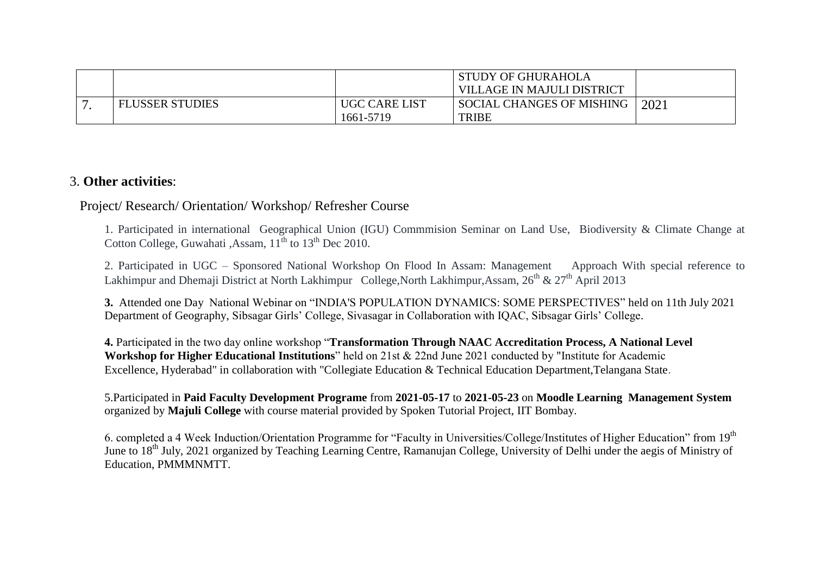|                        |                            | <b>STUDY OF GHURAHOLA</b><br><b>VILLAGE IN MAJULI DISTRICT</b> |      |
|------------------------|----------------------------|----------------------------------------------------------------|------|
| <b>FLUSSER STUDIES</b> | UGC CARE LIST<br>1661-5719 | <b>SOCIAL CHANGES OF MISHING</b><br><b>TRIBE</b>               | 2021 |

#### 3. **Other activities**:

#### Project/ Research/ Orientation/ Workshop/ Refresher Course

1. Participated in international Geographical Union (IGU) Commmision Seminar on Land Use, Biodiversity & Climate Change at Cotton College, Guwahati ,Assam,  $11^{th}$  to  $13^{th}$  Dec 2010.

2. Participated in UGC – Sponsored National Workshop On Flood In Assam: Management Approach With special reference to Lakhimpur and Dhemaji District at North Lakhimpur College,North Lakhimpur,Assam, 26<sup>th</sup> & 27<sup>th</sup> April 2013

**3.** Attended one Day National Webinar on "INDIA'S POPULATION DYNAMICS: SOME PERSPECTIVES" held on 11th July 2021 Department of Geography, Sibsagar Girls' College, Sivasagar in Collaboration with IQAC, Sibsagar Girls' College.

**4.** Participated in the two day online workshop "**Transformation Through NAAC Accreditation Process, A National Level Workshop for Higher Educational Institutions**" held on 21st & 22nd June 2021 conducted by "Institute for Academic Excellence, Hyderabad" in collaboration with "Collegiate Education & Technical Education Department,Telangana State.

5.Participated in **Paid Faculty Development Programe** from **2021-05-17** to **2021-05-23** on **Moodle Learning Management System**  organized by **Majuli College** with course material provided by Spoken Tutorial Project, IIT Bombay.

6. completed a 4 Week Induction/Orientation Programme for "Faculty in Universities/College/Institutes of Higher Education" from 19th June to 18<sup>th</sup> July, 2021 organized by Teaching Learning Centre, Ramanujan College, University of Delhi under the aegis of Ministry of Education, PMMMNMTT.